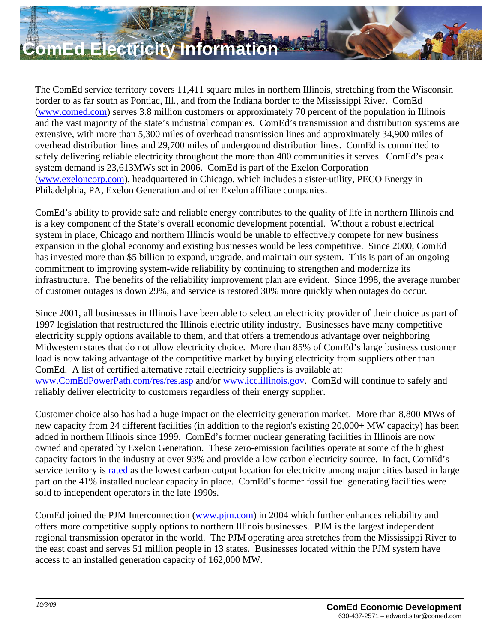

The ComEd service territory covers 11,411 square miles in northern Illinois, stretching from the Wisconsin border to as far south as Pontiac, Ill., and from the Indiana border to the Mississippi River. ComEd [\(www.comed.com\)](http://www.comed.com/) serves 3.8 million customers or approximately 70 percent of the population in Illinois and the vast majority of the state's industrial companies. ComEd's transmission and distribution systems are extensive, with more than 5,300 miles of overhead transmission lines and approximately 34,900 miles of overhead distribution lines and 29,700 miles of underground distribution lines. ComEd is committed to safely delivering reliable electricity throughout the more than 400 communities it serves. ComEd's peak system demand is 23,613MWs set in 2006. ComEd is part of the Exelon Corporation [\(www.exeloncorp.com](http://www.exeloncorp.com/)), headquartered in Chicago, which includes a sister-utility, PECO Energy in Philadelphia, PA, Exelon Generation and other Exelon affiliate companies.

ComEd's ability to provide safe and reliable energy contributes to the quality of life in northern Illinois and is a key component of the State's overall economic development potential. Without a robust electrical system in place, Chicago and northern Illinois would be unable to effectively compete for new business expansion in the global economy and existing businesses would be less competitive. Since 2000, ComEd has invested more than \$5 billion to expand, upgrade, and maintain our system. This is part of an ongoing commitment to improving system-wide reliability by continuing to strengthen and modernize its infrastructure. The benefits of the reliability improvement plan are evident. Since 1998, the average number of customer outages is down 29%, and service is restored 30% more quickly when outages do occur.

Since 2001, all businesses in Illinois have been able to select an electricity provider of their choice as part of 1997 legislation that restructured the Illinois electric utility industry. Businesses have many competitive electricity supply options available to them, and that offers a tremendous advantage over neighboring Midwestern states that do not allow electricity choice. More than 85% of ComEd's large business customer load is now taking advantage of the competitive market by buying electricity from suppliers other than ComEd. A list of certified alternative retail electricity suppliers is available at: [www.ComEdPowerPath.com/res/res.asp](http://www.comedpowerpath.com/res/res.asp) and/or [www.icc.illinois.gov](http://www.icc.illinois.gov/). ComEd will continue to safely and reliably deliver electricity to customers regardless of their energy supplier.

Customer choice also has had a huge impact on the electricity generation market. More than 8,800 MWs of new capacity from 24 different facilities (in addition to the region's existing 20,000+ MW capacity) has been added in northern Illinois since 1999. ComEd's former nuclear generating facilities in Illinois are now owned and operated by Exelon Generation. These zero-emission facilities operate at some of the highest capacity factors in the industry at over 93% and provide a low carbon electricity source. In fact, ComEd's service territory is [rated](http://www.basepartnersinc.com/pdf/SmartDataCenterFINAL8.15.07.pdf) as the lowest carbon output location for electricity among major cities based in large part on the 41% installed nuclear capacity in place. ComEd's former fossil fuel generating facilities were sold to independent operators in the late 1990s.

ComEd joined the PJM Interconnection ([www.pjm.com](http://www.pjm.com/)) in 2004 which further enhances reliability and offers more competitive supply options to northern Illinois businesses. PJM is the largest independent regional transmission operator in the world. The PJM operating area stretches from the Mississippi River to the east coast and serves 51 million people in 13 states. Businesses located within the PJM system have access to an installed generation capacity of 162,000 MW.